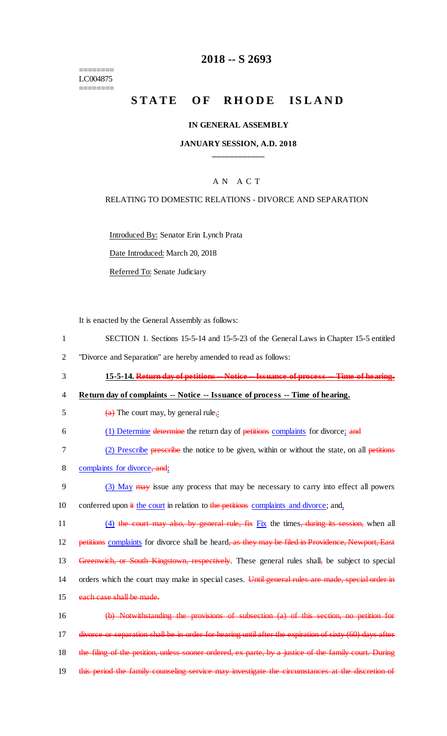======== LC004875 ========

## **2018 -- S 2693**

# **STATE OF RHODE ISLAND**

#### **IN GENERAL ASSEMBLY**

#### **JANUARY SESSION, A.D. 2018 \_\_\_\_\_\_\_\_\_\_\_\_**

#### A N A C T

#### RELATING TO DOMESTIC RELATIONS - DIVORCE AND SEPARATION

Introduced By: Senator Erin Lynch Prata

Date Introduced: March 20, 2018

Referred To: Senate Judiciary

It is enacted by the General Assembly as follows:

- 1 SECTION 1. Sections 15-5-14 and 15-5-23 of the General Laws in Chapter 15-5 entitled
- 2 "Divorce and Separation" are hereby amended to read as follows:
- 3 **15-5-14. Return day of petitions -- Notice -- Issuance of process -- Time of hearing.**

#### 4 **Return day of complaints -- Notice -- Issuance of process -- Time of hearing.**

- 5 (a) The court may, by general rule, 6 (1) Determine determine the return day of petitions complaints for divorce; and 7 (2) Prescribe prescribe the notice to be given, within or without the state, on all petitions 8 complaints for divorce, and;
- 9 (3) May may issue any process that may be necessary to carry into effect all powers 10 conferred upon  $\frac{d}{dx}$  the court in relation to the petitions complaints and divorce; and,
- 11 (4) the court may also, by general rule, fix Fix the times, during its session, when all

12 petitions complaints for divorce shall be heard, as they may be filed in Providence, Newport, East

13 Greenwich, or South Kingstown, respectively. These general rules shall, be subject to special

- 14 orders which the court may make in special cases. Until general rules are made, special order in
- 15 each case shall be made.

16 (b) Notwithstanding the provisions of subsection (a) of this section, no petition for 17 divorce or separation shall be in order for hearing until after the expiration of sixty (60) days after 18 the filing of the petition, unless sooner ordered, ex parte, by a justice of the family court. During 19 this period the family counseling service may investigate the circumstances at the discretion of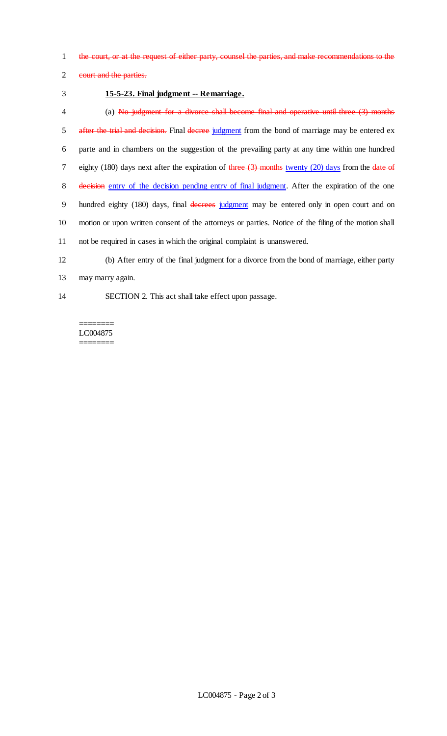1 the court, or at the request of either party, counsel the parties, and make recommendations to the

2 eourt and the parties.

### 3 **15-5-23. Final judgment -- Remarriage.**

4 (a) No judgment for a divorce shall become final and operative until three (3) months 5 after the trial and decision. Final decree judgment from the bond of marriage may be entered ex 6 parte and in chambers on the suggestion of the prevailing party at any time within one hundred 7 eighty (180) days next after the expiration of three  $(3)$  months twenty (20) days from the date of 8 decision entry of the decision pending entry of final judgment. After the expiration of the one 9 hundred eighty (180) days, final decrees judgment may be entered only in open court and on 10 motion or upon written consent of the attorneys or parties. Notice of the filing of the motion shall 11 not be required in cases in which the original complaint is unanswered. 12 (b) After entry of the final judgment for a divorce from the bond of marriage, either party 13 may marry again.

- 
- 

14 SECTION 2. This act shall take effect upon passage.

======== LC004875 ========